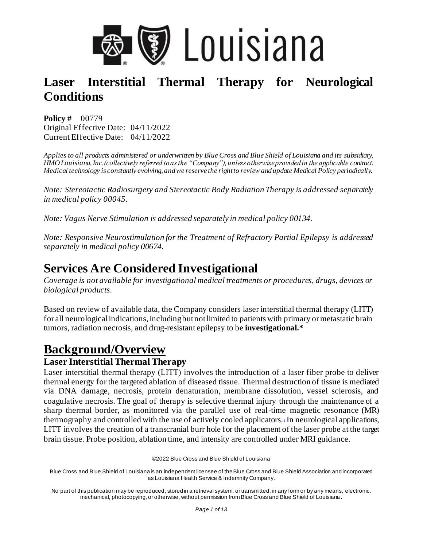

**Policy #** 00779 Original Effective Date: 04/11/2022 Current Effective Date: 04/11/2022

*Applies to all products administered or underwritten by Blue Cross and Blue Shield of Louisiana and its subsidiary, HMO Louisiana, Inc.(collectively referred to as the "Company"), unless otherwise provided in the applicable contract. Medical technology is constantly evolving, and we reserve the right to review and update Medical Policy periodically.* 

*Note: [Stereotactic Radiosurgery and Stereotactic Body Radiation Therapy i](https://www.bcbsla.com/-/media/Medical%20Policies/2020/08/03/17/36/StereotacticRadiosurgeryandStereotacticBodyRadiotherapy.pdf)s addressed separately in medical policy 00045.*

*Note: [Vagus Nerve Stimulation](https://www.bcbsla.com/-/media/Medical%20Policies/2020/08/03/17/36/VagusNerveStimulation.pdf) is addressed separately in medical policy 00134.* 

*Note: [Responsive Neurostimulation for the Treatment of Refractory Partial Epilepsy i](https://www.bcbsla.com/-/media/Medical%20Policies/2020/08/03/17/36/Responsive%20Neurostimulation%20for%20the%20Treatment%20of%20Refractory%20Focal%2000674%2020191101_accessible%20pdf.pdf)s addressed separately in medical policy 00674.* 

## **Services Are Considered Investigational**

*Coverage is not available for investigational medical treatments or procedures, drugs, devices or biological products.*

Based on review of available data, the Company considers laser interstitial thermal therapy (LITT) for all neurological indications, including but not limited to patients with primary or metastatic brain tumors, radiation necrosis, and drug-resistant epilepsy to be **investigational.\***

## **Background/Overview**

### **Laser Interstitial Thermal Therapy**

Laser interstitial thermal therapy (LITT) involves the introduction of a laser fiber probe to deliver thermal energy for the targeted ablation of diseased tissue. Thermal destruction of tissue is mediated via DNA damage, necrosis, protein denaturation, membrane dissolution, vessel sclerosis, and coagulative necrosis. The goal of therapy is selective thermal injury through the maintenance of a sharp thermal border, as monitored via the parallel use of real-time magnetic resonance (MR) thermography and controlled with the use of actively cooled applicator[s.](https://www.evidencepositioningsystem.com/_w_31dcfff393d76f0d63a1eb4f6d4678920797dc33c1f0f02d/bcbsa_html/BCBSA/html/_blank), In neurological applications, LITT involves the creation of a transcranial burr hole for the placement of the laser probe at the target brain tissue. Probe position, ablation time, and intensity are controlled under MRI guidance.

©2022 Blue Cross and Blue Shield of Louisiana

Blue Cross and Blue Shield of Louisiana is an independent licensee of the Blue Cross and Blue Shield Association and incorporated as Louisiana Health Service & Indemnity Company.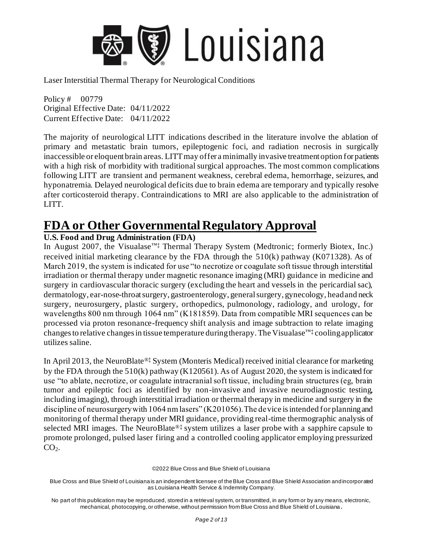

Policy # 00779 Original Effective Date: 04/11/2022 Current Effective Date: 04/11/2022

The majority of neurological LITT indications described in the literature involve the ablation of primary and metastatic brain tumors, epileptogenic foci, and radiation necrosis in surgically inaccessible or eloquent brain areas. LITT may offer a minimally invasive treatment option for patients with a high risk of morbidity with traditional surgical approaches. The most common complications following LITT are transient and permanent weakness, cerebral edema, hemorrhage, seizures, and hyponatremia. Delayed neurological deficits due to brain edema are temporary and typically resolve after corticosteroid therapy. Contraindications to MRI are also applicable to the administration of LITT.

## **FDA or Other Governmental Regulatory Approval**

### **U.S. Food and Drug Administration (FDA)**

In August 2007, the Visualase™‡ Thermal Therapy System (Medtronic; formerly Biotex, Inc.) received initial marketing clearance by the FDA through the  $510(k)$  pathway (K071328). As of March 2019, the system is indicated for use "to necrotize or coagulate soft tissue through interstitial irradiation or thermal therapy under magnetic resonance imaging (MRI) guidance in medicine and surgery in cardiovascular thoracic surgery (excluding the heart and vessels in the pericardial sac), dermatology, ear-nose-throat surgery, gastroenterology, general surgery, gynecology, head and neck surgery, neurosurgery, plastic surgery, orthopedics, pulmonology, radiology, and urology, for wavelengths 800 nm through 1064 nm" (K181859). Data from compatible MRI sequences can be processed via proton resonance-frequency shift analysis and image subtraction to relate imaging changes to relative changes in tissue temperature during therapy. The Visualase<sup> $W^{\dagger}$ </sup> cooling applicator utilizes saline.

In April 2013, the NeuroBlate®‡ System (Monteris Medical) received initial clearance for marketing by the FDA through the 510(k) pathway (K120561). As of August 2020, the system is indicated for use "to ablate, necrotize, or coagulate intracranial soft tissue, including brain structures (eg, brain tumor and epileptic foci as identified by non-invasive and invasive neurodiagnostic testing, including imaging), through interstitial irradiation or thermal therapy in medicine and surgery in the discipline of neurosurgery with 1064 nm lasers" (K201056). The device is intended for planning and monitoring of thermal therapy under MRI guidance, providing real-time thermographic analysis of selected MRI images. The NeuroBlate<sup>®‡</sup> system utilizes a laser probe with a sapphire capsule to promote prolonged, pulsed laser firing and a controlled cooling applicator employing pressurized  $CO<sub>2</sub>$ .

©2022 Blue Cross and Blue Shield of Louisiana

Blue Cross and Blue Shield of Louisiana is an independent licensee of the Blue Cross and Blue Shield Association and incorporated as Louisiana Health Service & Indemnity Company.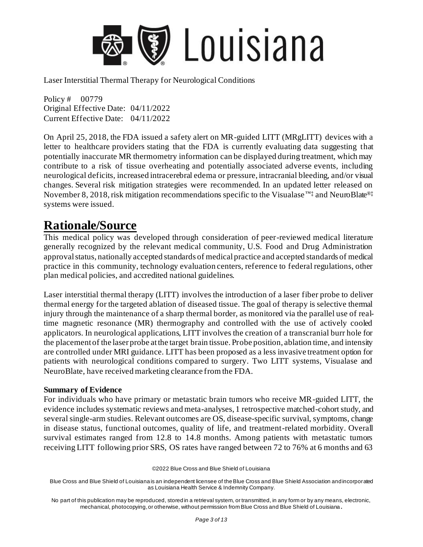

Policy # 00779 Original Effective Date: 04/11/2022 Current Effective Date: 04/11/2022

On April 25, 2018, the FDA issued a safety alert on MR-guided LITT (MRgLITT) devices with a letter to healthcare providers stating that the FDA is currently evaluating data suggesting that potentially inaccurate MR thermometry information can be displayed during treatment, which may contribute to a risk of tissue overheating and potentially associated adverse events, including neurological deficits, increased intracerebral edema or pressure, intracranial bleeding, and/or visual changes. Several risk mitigation strategies were recommended. In an updated letter released on November 8, 2018, risk mitigation recommendations specific to the Visualase<sup>™‡</sup> and NeuroBlate<sup>®‡</sup> systems were issued.

### **Rationale/Source**

This medical policy was developed through consideration of peer-reviewed medical literature generally recognized by the relevant medical community, U.S. Food and Drug Administration approval status, nationally accepted standards of medical practice and accepted standards of medical practice in this community, technology evaluation centers, reference to federal regulations, other plan medical policies, and accredited national guidelines.

Laser interstitial thermal therapy (LITT) involves the introduction of a laser fiber probe to deliver thermal energy for the targeted ablation of diseased tissue. The goal of therapy is selective thermal injury through the maintenance of a sharp thermal border, as monitored via the parallel use of realtime magnetic resonance (MR) thermography and controlled with the use of actively cooled applicators. In neurological applications, LITT involves the creation of a transcranial burr hole for the placement of the laser probe at the target brain tissue. Probe position, ablation time, and intensity are controlled under MRI guidance. LITT has been proposed as a less invasive treatment option for patients with neurological conditions compared to surgery. Two LITT systems, Visualase and NeuroBlate, have received marketing clearance from the FDA.

#### **Summary of Evidence**

For individuals who have primary or metastatic brain tumors who receive MR-guided LITT, the evidence includes systematic reviews and meta-analyses, 1 retrospective matched-cohort study, and several single-arm studies. Relevant outcomes are OS, disease-specific survival, symptoms, change in disease status, functional outcomes, quality of life, and treatment-related morbidity. Overall survival estimates ranged from 12.8 to 14.8 months. Among patients with metastatic tumors receiving LITT following prior SRS, OS rates have ranged between 72 to 76% at 6 months and 63

©2022 Blue Cross and Blue Shield of Louisiana

Blue Cross and Blue Shield of Louisiana is an independent licensee of the Blue Cross and Blue Shield Association and incorporated as Louisiana Health Service & Indemnity Company.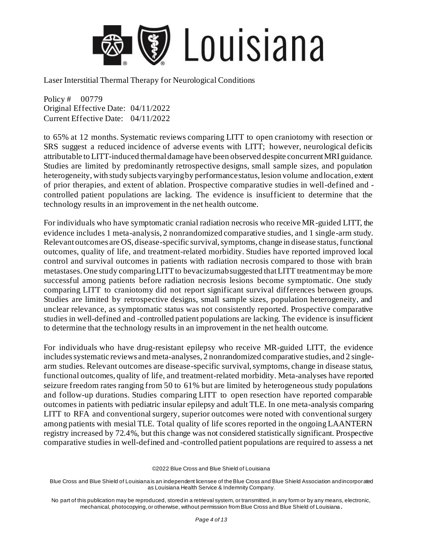

Policy # 00779 Original Effective Date: 04/11/2022 Current Effective Date: 04/11/2022

to 65% at 12 months. Systematic reviews comparing LITT to open craniotomy with resection or SRS suggest a reduced incidence of adverse events with LITT; however, neurological deficits attributable to LITT-induced thermal damage have been observed despite concurrent MRI guidance. Studies are limited by predominantly retrospective designs, small sample sizes, and population heterogeneity, with study subjects varying by performance status, lesion volume and location, extent of prior therapies, and extent of ablation. Prospective comparative studies in well-defined and controlled patient populations are lacking. The evidence is insufficient to determine that the technology results in an improvement in the net health outcome.

For individuals who have symptomatic cranial radiation necrosis who receive MR-guided LITT, the evidence includes 1 meta-analysis, 2 nonrandomized comparative studies, and 1 single-arm study. Relevant outcomes are OS, disease-specific survival, symptoms, change in disease status, functional outcomes, quality of life, and treatment-related morbidity. Studies have reported improved local control and survival outcomes in patients with radiation necrosis compared to those with brain metastases. One study comparing LITT to bevacizumab suggested that LITT treatment may be more successful among patients before radiation necrosis lesions become symptomatic. One study comparing LITT to craniotomy did not report significant survival differences between groups. Studies are limited by retrospective designs, small sample sizes, population heterogeneity, and unclear relevance, as symptomatic status was not consistently reported. Prospective comparative studies in well-defined and -controlled patient populations are lacking. The evidence is insufficient to determine that the technology results in an improvement in the net health outcome.

For individuals who have drug-resistant epilepsy who receive MR-guided LITT, the evidence includes systematic reviews and meta-analyses, 2 nonrandomized comparative studies, and 2 singlearm studies. Relevant outcomes are disease-specific survival, symptoms, change in disease status, functional outcomes, quality of life, and treatment-related morbidity. Meta-analyses have reported seizure freedom rates ranging from 50 to 61% but are limited by heterogeneous study populations and follow-up durations. Studies comparing LITT to open resection have reported comparable outcomes in patients with pediatric insular epilepsy and adult TLE. In one meta-analysis comparing LITT to RFA and conventional surgery, superior outcomes were noted with conventional surgery among patients with mesial TLE. Total quality of life scores reported in the ongoing LAANTERN registry increased by 72.4%, but this change was not considered statistically significant. Prospective comparative studies in well-defined and -controlled patient populations are required to assess a net

©2022 Blue Cross and Blue Shield of Louisiana

Blue Cross and Blue Shield of Louisiana is an independent licensee of the Blue Cross and Blue Shield Association and incorporated as Louisiana Health Service & Indemnity Company.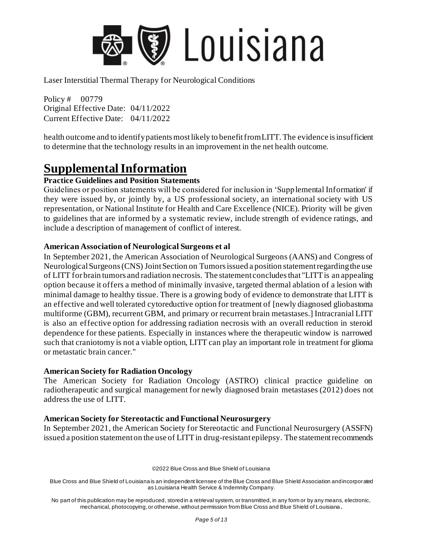

Policy # 00779 Original Effective Date: 04/11/2022 Current Effective Date: 04/11/2022

health outcome and to identify patients most likely to benefit from LITT. The evidence is insufficient to determine that the technology results in an improvement in the net health outcome.

## **Supplemental Information**

#### **Practice Guidelines and Position Statements**

Guidelines or position statements will be considered for inclusion in 'Supplemental Information' if they were issued by, or jointly by, a US professional society, an international society with US representation, or National Institute for Health and Care Excellence (NICE). Priority will be given to guidelines that are informed by a systematic review, include strength of evidence ratings, and include a description of management of conflict of interest.

#### **American Association of Neurological Surgeons et al**

In September 2021, the American Association of Neurological Surgeons (AANS) and Congress of Neurological Surgeons (CNS) Joint Section on Tumors issued a position statement regarding the use of LITT for brain tumors and radiation necrosis. The statement concludes that "LITT is an appealing option because it offers a method of minimally invasive, targeted thermal ablation of a lesion with minimal damage to healthy tissue. There is a growing body of evidence to demonstrate that LITT is an effective and well tolerated cytoreductive option for treatment of [newly diagnosed gliobastoma multiforme (GBM), recurrent GBM, and primary or recurrent brain metastases.] Intracranial LITT is also an effective option for addressing radiation necrosis with an overall reduction in steroid dependence for these patients. Especially in instances where the therapeutic window is narrowed such that craniotomy is not a viable option, LITT can play an important role in treatment for glioma or metastatic brain cancer."

#### **American Society for Radiation Oncology**

The American Society for Radiation Oncology (ASTRO) clinical practice guideline on radiotherapeutic and surgical management for newly diagnosed brain metastases (2012) does not address the use of LITT.

#### **American Society for Stereotactic and Functional Neurosurgery**

In September 2021, the American Society for Stereotactic and Functional Neurosurgery (ASSFN) issued a position statement on the use of LITT in drug-resistant epilepsy. The statement recommends

©2022 Blue Cross and Blue Shield of Louisiana

Blue Cross and Blue Shield of Louisiana is an independent licensee of the Blue Cross and Blue Shield Association and incorporated as Louisiana Health Service & Indemnity Company.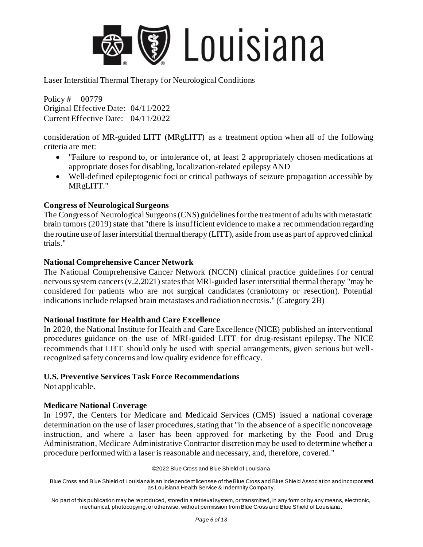

Policy # 00779 Original Effective Date: 04/11/2022 Current Effective Date: 04/11/2022

consideration of MR-guided LITT (MRgLITT) as a treatment option when all of the following criteria are met:

- "Failure to respond to, or intolerance of, at least 2 appropriately chosen medications at appropriate doses for disabling, localization-related epilepsy AND
- Well-defined epileptogenic foci or critical pathways of seizure propagation accessible by MRgLITT."

#### **Congress of Neurological Surgeons**

The Congress of Neurological Surgeons (CNS) guidelines for the treatment of adults with metastatic brain tumors (2019) state that "there is insufficient evidence to make a recommendation regarding the routine use of laser interstitial thermal therapy (LITT), aside from use as part of approved clinical trials."

#### **National Comprehensive Cancer Network**

The National Comprehensive Cancer Network (NCCN) clinical practice guidelines for central nervous system cancers (v.2.2021) states that MRI-guided laser interstitial thermal therapy "may be considered for patients who are not surgical candidates (craniotomy or resection). Potential indications include relapsed brain metastases and radiation necrosis." (Category 2B)

#### **National Institute for Health and Care Excellence**

In 2020, the National Institute for Health and Care Excellence (NICE) published an interventional procedures guidance on the use of MRI-guided LITT for drug-resistant epilepsy. The NICE recommends that LITT should only be used with special arrangements, given serious but wellrecognized safety concerns and low quality evidence for efficacy.

#### **U.S. Preventive Services Task Force Recommendations**

Not applicable.

#### **Medicare National Coverage**

In 1997, the Centers for Medicare and Medicaid Services (CMS) issued a national coverage determination on the use of laser procedures, stating that "in the absence of a specific noncoverage instruction, and where a laser has been approved for marketing by the Food and Drug Administration, Medicare Administrative Contractor discretion may be used to determine whether a procedure performed with a laser is reasonable and necessary, and, therefore, covered."

©2022 Blue Cross and Blue Shield of Louisiana

Blue Cross and Blue Shield of Louisiana is an independent licensee of the Blue Cross and Blue Shield Association and incorporated as Louisiana Health Service & Indemnity Company.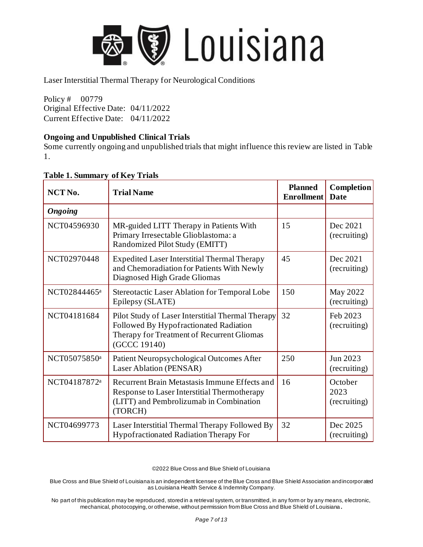

Policy # 00779 Original Effective Date: 04/11/2022 Current Effective Date: 04/11/2022

#### **Ongoing and Unpublished Clinical Trials**

Some currently ongoing and unpublished trials that might influence this review are listed in Table 1.

| NCT <sub>No.</sub> | <b>Trial Name</b>                                                                                                                                          | <b>Planned</b><br><b>Enrollment</b> | Completion<br>Date              |
|--------------------|------------------------------------------------------------------------------------------------------------------------------------------------------------|-------------------------------------|---------------------------------|
| <b>Ongoing</b>     |                                                                                                                                                            |                                     |                                 |
| NCT04596930        | MR-guided LITT Therapy in Patients With<br>Primary Irresectable Glioblastoma: a<br>Randomized Pilot Study (EMITT)                                          | 15                                  | Dec 2021<br>(recruiting)        |
| NCT02970448        | <b>Expedited Laser Interstitial Thermal Therapy</b><br>and Chemoradiation for Patients With Newly<br>Diagnosed High Grade Gliomas                          | 45                                  | Dec 2021<br>(recruiting)        |
| NCT02844465a       | Stereotactic Laser Ablation for Temporal Lobe<br>Epilepsy (SLATE)                                                                                          | 150                                 | May 2022<br>(recruiting)        |
| NCT04181684        | Pilot Study of Laser Interstitial Thermal Therapy<br>Followed By Hypofractionated Radiation<br>Therapy for Treatment of Recurrent Gliomas<br>(GCCC 19140)  | 32                                  | Feb 2023<br>(recruiting)        |
| NCT05075850a       | Patient Neuropsychological Outcomes After<br>Laser Ablation (PENSAR)                                                                                       | 250                                 | Jun 2023<br>(recruiting)        |
| NCT04187872a       | Recurrent Brain Metastasis Immune Effects and<br><b>Response to Laser Interstitial Thermotherapy</b><br>(LITT) and Pembrolizumab in Combination<br>(TORCH) | 16                                  | October<br>2023<br>(recruiting) |
| NCT04699773        | Laser Interstitial Thermal Therapy Followed By<br>Hypofractionated Radiation Therapy For                                                                   | 32                                  | Dec 2025<br>(recruiting)        |

#### **Table 1. Summary of Key Trials**

©2022 Blue Cross and Blue Shield of Louisiana

Blue Cross and Blue Shield of Louisiana is an independent licensee of the Blue Cross and Blue Shield Association and incorporated as Louisiana Health Service & Indemnity Company.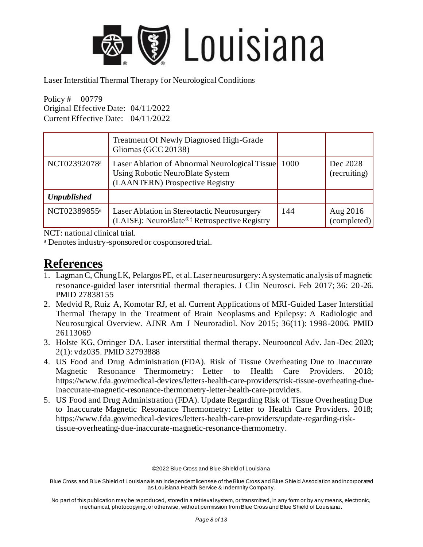

Policy # 00779 Original Effective Date: 04/11/2022 Current Effective Date: 04/11/2022

|                    | <b>Treatment Of Newly Diagnosed High-Grade</b><br>Gliomas (GCC 20138)                                                       |      |                          |
|--------------------|-----------------------------------------------------------------------------------------------------------------------------|------|--------------------------|
| NCT02392078a       | Laser Ablation of Abnormal Neurological Tissue<br><b>Using Robotic NeuroBlate System</b><br>(LAANTERN) Prospective Registry | 1000 | Dec 2028<br>(recruiting) |
| <b>Unpublished</b> |                                                                                                                             |      |                          |
| NCT02389855a       | Laser Ablation in Stereotactic Neurosurgery<br>(LAISE): NeuroBlate®‡ Retrospective Registry                                 | 144  | Aug 2016<br>(completed)  |

NCT: national clinical trial.

<sup>a</sup> Denotes industry-sponsored or cosponsored trial.

### **References**

- 1. Lagman C, Chung LK, Pelargos PE, et al. Laser neurosurgery: A systematic analysis of magnetic resonance-guided laser interstitial thermal therapies. J Clin Neurosci. Feb 2017; 36: 20-26. PMID 27838155
- 2. Medvid R, Ruiz A, Komotar RJ, et al. Current Applications of MRI-Guided Laser Interstitial Thermal Therapy in the Treatment of Brain Neoplasms and Epilepsy: A Radiologic and Neurosurgical Overview. AJNR Am J Neuroradiol. Nov 2015; 36(11): 1998 -2006. PMID 26113069
- 3. Holste KG, Orringer DA. Laser interstitial thermal therapy. Neurooncol Adv. Jan-Dec 2020; 2(1): vdz035. PMID 32793888
- 4. US Food and Drug Administration (FDA). Risk of Tissue Overheating Due to Inaccurate Magnetic Resonance Thermometry: Letter to Health Care Providers. 2018; https://www.fda.gov/medical-devices/letters-health-care-providers/risk-tissue-overheating-dueinaccurate-magnetic-resonance-thermometry-letter-health-care-providers.
- 5. US Food and Drug Administration (FDA). Update Regarding Risk of Tissue Overheating Due to Inaccurate Magnetic Resonance Thermometry: Letter to Health Care Providers. 2018; https://www.fda.gov/medical-devices/letters-health-care-providers/update-regarding-risktissue-overheating-due-inaccurate-magnetic-resonance-thermometry.

©2022 Blue Cross and Blue Shield of Louisiana

Blue Cross and Blue Shield of Louisiana is an independent licensee of the Blue Cross and Blue Shield Association and incorporated as Louisiana Health Service & Indemnity Company.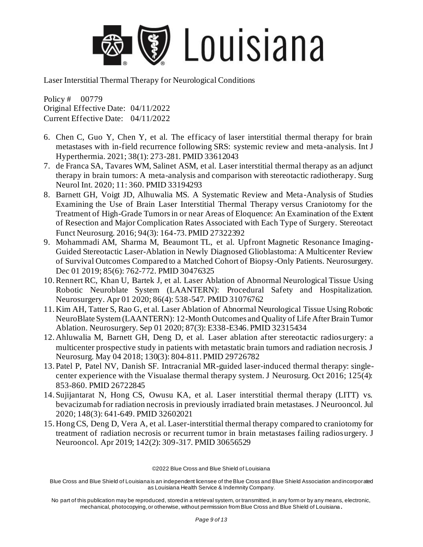

Policy # 00779 Original Effective Date: 04/11/2022 Current Effective Date: 04/11/2022

- 6. Chen C, Guo Y, Chen Y, et al. The efficacy of laser interstitial thermal therapy for brain metastases with in-field recurrence following SRS: systemic review and meta-analysis. Int J Hyperthermia. 2021; 38(1): 273-281. PMID 33612043
- 7. de Franca SA, Tavares WM, Salinet ASM, et al. Laser interstitial thermal therapy as an adjunct therapy in brain tumors: A meta-analysis and comparison with stereotactic radiotherapy. Surg Neurol Int. 2020; 11: 360. PMID 33194293
- 8. Barnett GH, Voigt JD, Alhuwalia MS. A Systematic Review and Meta-Analysis of Studies Examining the Use of Brain Laser Interstitial Thermal Therapy versus Craniotomy for the Treatment of High-Grade Tumors in or near Areas of Eloquence: An Examination of the Extent of Resection and Major Complication Rates Associated with Each Type of Surgery. Stereotact Funct Neurosurg. 2016; 94(3): 164-73. PMID 27322392
- 9. Mohammadi AM, Sharma M, Beaumont TL, et al. Upfront Magnetic Resonance Imaging-Guided Stereotactic Laser-Ablation in Newly Diagnosed Glioblastoma: A Multicenter Review of Survival Outcomes Compared to a Matched Cohort of Biopsy-Only Patients. Neurosurgery. Dec 01 2019; 85(6): 762-772. PMID 30476325
- 10.Rennert RC, Khan U, Bartek J, et al. Laser Ablation of Abnormal Neurological Tissue Using Robotic Neuroblate System (LAANTERN): Procedural Safety and Hospitalization. Neurosurgery. Apr 01 2020; 86(4): 538-547. PMID 31076762
- 11. Kim AH, Tatter S, Rao G, et al. Laser Ablation of Abnormal Neurological Tissue Using Robotic NeuroBlate System (LAANTERN): 12-Month Outcomes and Quality of Life After Brain Tumor Ablation. Neurosurgery. Sep 01 2020; 87(3): E338-E346. PMID 32315434
- 12. Ahluwalia M, Barnett GH, Deng D, et al. Laser ablation after stereotactic radiosurgery: a multicenter prospective study in patients with metastatic brain tumors and radiation necrosis. J Neurosurg. May 04 2018; 130(3): 804-811. PMID 29726782
- 13. Patel P, Patel NV, Danish SF. Intracranial MR-guided laser-induced thermal therapy: singlecenter experience with the Visualase thermal therapy system. J Neurosurg. Oct 2016; 125(4): 853-860. PMID 26722845
- 14. Sujijantarat N, Hong CS, Owusu KA, et al. Laser interstitial thermal therapy (LITT) vs. bevacizumab for radiation necrosis in previously irradiated brain metastases. J Neurooncol. Jul 2020; 148(3): 641-649. PMID 32602021
- 15. Hong CS, Deng D, Vera A, et al. Laser-interstitial thermal therapy compared to craniotomy for treatment of radiation necrosis or recurrent tumor in brain metastases failing radiosurgery. J Neurooncol. Apr 2019; 142(2): 309-317. PMID 30656529

©2022 Blue Cross and Blue Shield of Louisiana

Blue Cross and Blue Shield of Louisiana is an independent licensee of the Blue Cross and Blue Shield Association and incorporated as Louisiana Health Service & Indemnity Company.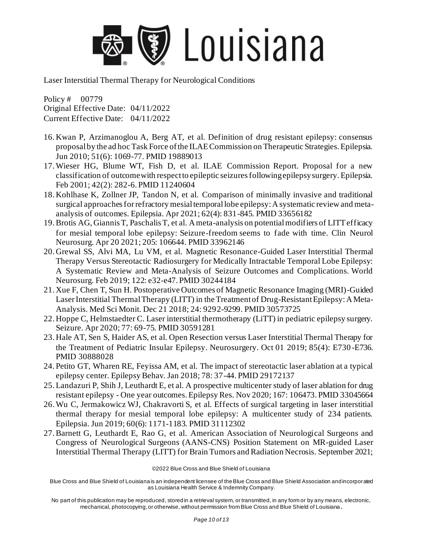

Policy # 00779 Original Effective Date: 04/11/2022 Current Effective Date: 04/11/2022

- 16. Kwan P, Arzimanoglou A, Berg AT, et al. Definition of drug resistant epilepsy: consensus proposal by the ad hoc Task Force of the ILAE Commission on Therapeutic Strategies. Epilepsia. Jun 2010; 51(6): 1069-77. PMID 19889013
- 17.Wieser HG, Blume WT, Fish D, et al. ILAE Commission Report. Proposal for a new classification of outcome with respect to epileptic seizures following epilepsy surgery. Epilepsia. Feb 2001; 42(2): 282-6. PMID 11240604
- 18. Kohlhase K, Zollner JP, Tandon N, et al. Comparison of minimally invasive and traditional surgical approaches for refractory mesial temporal lobe epilepsy: A systematic review and metaanalysis of outcomes. Epilepsia. Apr 2021; 62(4): 831-845. PMID 33656182
- 19.Brotis AG, Giannis T, Paschalis T, et al. A meta-analysis on potential modifiers of LITT efficacy for mesial temporal lobe epilepsy: Seizure-freedom seems to fade with time. Clin Neurol Neurosurg. Apr 20 2021; 205: 106644. PMID 33962146
- 20. Grewal SS, Alvi MA, Lu VM, et al. Magnetic Resonance-Guided Laser Interstitial Thermal Therapy Versus Stereotactic Radiosurgery for Medically Intractable Temporal Lobe Epilepsy: A Systematic Review and Meta-Analysis of Seizure Outcomes and Complications. World Neurosurg. Feb 2019; 122: e32-e47. PMID 30244184
- 21. Xue F, Chen T, Sun H. Postoperative Outcomes of Magnetic Resonance Imaging (MRI)-Guided Laser Interstitial Thermal Therapy (LITT) in the Treatment of Drug-Resistant Epilepsy: A Meta-Analysis. Med Sci Monit. Dec 21 2018; 24: 9292-9299. PMID 30573725
- 22. Hoppe C, Helmstaedter C. Laser interstitial thermotherapy (LiTT) in pediatric epilepsy surgery. Seizure. Apr 2020; 77: 69-75. PMID 30591281
- 23. Hale AT, Sen S, Haider AS, et al. Open Resection versus Laser Interstitial Thermal Therapy for the Treatment of Pediatric Insular Epilepsy. Neurosurgery. Oct 01 2019; 85(4): E730 -E736. PMID 30888028
- 24. Petito GT, Wharen RE, Feyissa AM, et al. The impact of stereotactic laser ablation at a typical epilepsy center. Epilepsy Behav. Jan 2018; 78: 37-44. PMID 29172137
- 25.Landazuri P, Shih J, Leuthardt E, et al. A prospective multicenter study of laser ablation for drug resistant epilepsy - One year outcomes. Epilepsy Res. Nov 2020; 167: 106473. PMID 33045664
- 26.Wu C, Jermakowicz WJ, Chakravorti S, et al. Effects of surgical targeting in laser interstitial thermal therapy for mesial temporal lobe epilepsy: A multicenter study of 234 patients. Epilepsia. Jun 2019; 60(6): 1171-1183. PMID 31112302
- 27.Barnett G, Leuthardt E, Rao G, et al. American Association of Neurological Surgeons and Congress of Neurological Surgeons (AANS-CNS) Position Statement on MR-guided Laser Interstitial Thermal Therapy (LITT) for Brain Tumors and Radiation Necrosis. September 2021;

©2022 Blue Cross and Blue Shield of Louisiana

Blue Cross and Blue Shield of Louisiana is an independent licensee of the Blue Cross and Blue Shield Association and incorporated as Louisiana Health Service & Indemnity Company.

No part of this publication may be reproduced, stored in a retrieval system, or transmitted, in any form or by any means, electronic, mechanical, photocopying, or otherwise, without permission from Blue Cross and Blue Shield of Louisiana **.**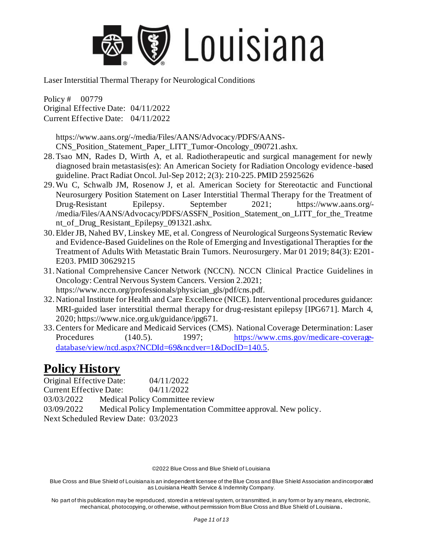

Policy # 00779 Original Effective Date: 04/11/2022 Current Effective Date: 04/11/2022

https://www.aans.org/-/media/Files/AANS/Advocacy/PDFS/AANS-

CNS\_Position\_Statement\_Paper\_LITT\_Tumor-Oncology\_090721.ashx.

- 28.Tsao MN, Rades D, Wirth A, et al. Radiotherapeutic and surgical management for newly diagnosed brain metastasis(es): An American Society for Radiation Oncology evidence -based guideline. Pract Radiat Oncol. Jul-Sep 2012; 2(3): 210-225. PMID 25925626
- 29.Wu C, Schwalb JM, Rosenow J, et al. American Society for Stereotactic and Functional Neurosurgery Position Statement on Laser Interstitial Thermal Therapy for the Treatment of Drug-Resistant Epilepsy. September 2021; https://www.aans.org/- /media/Files/AANS/Advocacy/PDFS/ASSFN\_Position\_Statement\_on\_LITT\_for\_the\_Treatme nt\_of\_Drug\_Resistant\_Epilepsy\_091321.ashx.
- 30.Elder JB, Nahed BV, Linskey ME, et al. Congress of Neurological Surgeons Systematic Review and Evidence-Based Guidelines on the Role of Emerging and Investigational Therapties for the Treatment of Adults With Metastatic Brain Tumors. Neurosurgery. Mar 01 2019; 84(3): E201- E203. PMID 30629215
- 31. National Comprehensive Cancer Network (NCCN). NCCN Clinical Practice Guidelines in Oncology: Central Nervous System Cancers. Version 2.2021; https://www.nccn.org/professionals/physician\_gls/pdf/cns.pdf.
- 32. National Institute for Health and Care Excellence (NICE). Interventional procedures guidance: MRI-guided laser interstitial thermal therapy for drug-resistant epilepsy [IPG671]. March 4, 2020; https://www.nice.org.uk/guidance/ipg671.
- 33.Centers for Medicare and Medicaid Services (CMS). National Coverage Determination: Laser Procedures (140.5). 1997; [https://www.cms.gov/medicare-coverage](https://www.cms.gov/medicare-coverage-database/view/ncd.aspx?NCDId=69&ncdver=1&DocID=140.5)[database/view/ncd.aspx?NCDId=69&ncdver=1&DocID=140.5.](https://www.cms.gov/medicare-coverage-database/view/ncd.aspx?NCDId=69&ncdver=1&DocID=140.5)

### **Policy History**

Original Effective Date: 04/11/2022 Current Effective Date: 04/11/2022 03/03/2022 Medical Policy Committee review 03/09/2022 Medical Policy Implementation Committee approval. New policy. Next Scheduled Review Date: 03/2023

©2022 Blue Cross and Blue Shield of Louisiana

Blue Cross and Blue Shield of Louisiana is an independent licensee of the Blue Cross and Blue Shield Association and incorporated as Louisiana Health Service & Indemnity Company.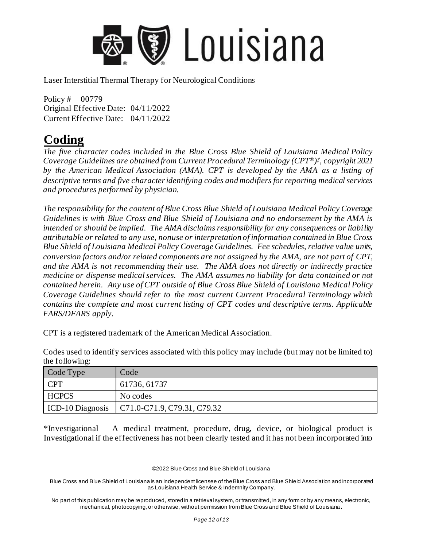

Policy # 00779 Original Effective Date: 04/11/2022 Current Effective Date: 04/11/2022

### **Coding**

*The five character codes included in the Blue Cross Blue Shield of Louisiana Medical Policy Coverage Guidelines are obtained from Current Procedural Terminology (CPT®) ‡ , copyright 2021 by the American Medical Association (AMA). CPT is developed by the AMA as a listing of descriptive terms and five character identifying codes and modifiers for reporting medical services and procedures performed by physician.* 

*The responsibility for the content of Blue Cross Blue Shield of Louisiana Medical Policy Coverage Guidelines is with Blue Cross and Blue Shield of Louisiana and no endorsement by the AMA is intended or should be implied. The AMA disclaims responsibility for any consequences or liability attributable or related to any use, nonuse or interpretation of information contained in Blue Cross Blue Shield of Louisiana Medical Policy Coverage Guidelines. Fee schedules, relative value units, conversion factors and/or related components are not assigned by the AMA, are not part of CPT, and the AMA is not recommending their use. The AMA does not directly or indirectly practice medicine or dispense medical services. The AMA assumes no liability for data contained or not contained herein. Any use of CPT outside of Blue Cross Blue Shield of Louisiana Medical Policy Coverage Guidelines should refer to the most current Current Procedural Terminology which contains the complete and most current listing of CPT codes and descriptive terms. Applicable FARS/DFARS apply.* 

CPT is a registered trademark of the American Medical Association.

Codes used to identify services associated with this policy may include (but may not be limited to) the following:

| Code Type        | Code                        |
|------------------|-----------------------------|
| <b>CPT</b>       | 61736, 61737                |
| <b>HCPCS</b>     | No codes                    |
| ICD-10 Diagnosis | C71.0-C71.9, C79.31, C79.32 |

\*Investigational – A medical treatment, procedure, drug, device, or biological product is Investigational if the effectiveness has not been clearly tested and it has not been incorporated into

©2022 Blue Cross and Blue Shield of Louisiana

Blue Cross and Blue Shield of Louisiana is an independent licensee of the Blue Cross and Blue Shield Association and incorporated as Louisiana Health Service & Indemnity Company.